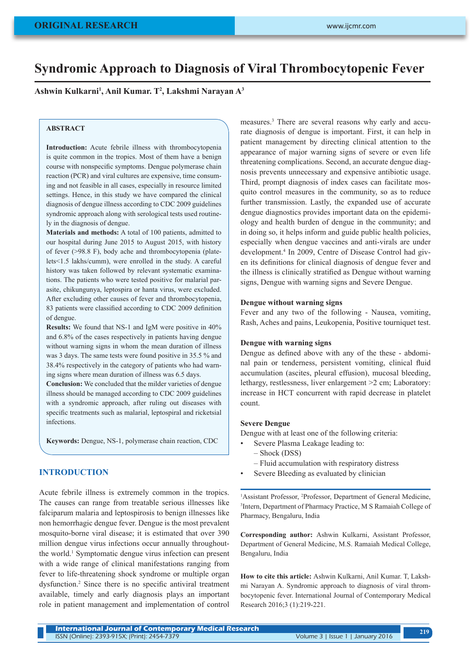# **Syndromic Approach to Diagnosis of Viral Thrombocytopenic Fever**

**Ashwin Kulkarni1 , Anil Kumar. T2 , Lakshmi Narayan A3**

#### **ABSTRACT**

**Introduction:** Acute febrile illness with thrombocytopenia is quite common in the tropics. Most of them have a benign course with nonspecific symptoms. Dengue polymerase chain reaction (PCR) and viral cultures are expensive, time consuming and not feasible in all cases, especially in resource limited settings. Hence, in this study we have compared the clinical diagnosis of dengue illness according to CDC 2009 guidelines syndromic approach along with serological tests used routinely in the diagnosis of dengue.

**Materials and methods:** A total of 100 patients, admitted to our hospital during June 2015 to August 2015, with history of fever (>98.8 F), body ache and thrombocytopenia (platelets<1.5 lakhs/cumm), were enrolled in the study. A careful history was taken followed by relevant systematic examinations. The patients who were tested positive for malarial parasite, chikungunya, leptospira or hanta virus, were excluded. After excluding other causes of fever and thrombocytopenia, 83 patients were classified according to CDC 2009 definition of dengue.

**Results:** We found that NS-1 and IgM were positive in 40% and 6.8% of the cases respectively in patients having dengue without warning signs in whom the mean duration of illness was 3 days. The same tests were found positive in 35.5 % and 38.4% respectively in the category of patients who had warning signs where mean duration of illness was 6.5 days.

**Conclusion:** We concluded that the milder varieties of dengue illness should be managed according to CDC 2009 guidelines with a syndromic approach, after ruling out diseases with specific treatments such as malarial, leptospiral and ricketsial infections.

**Keywords:** Dengue, NS-1, polymerase chain reaction, CDC

# **INTRODUCTION**

Acute febrile illness is extremely common in the tropics. The causes can range from treatable serious illnesses like falciparum malaria and leptospirosis to benign illnesses like non hemorrhagic dengue fever. Dengue is the most prevalent mosquito-borne viral disease; it is estimated that over 390 million dengue virus infections occur annually throughoutthe world.1 Symptomatic dengue virus infection can present with a wide range of clinical manifestations ranging from fever to life-threatening shock syndrome or multiple organ dysfunction.<sup>2</sup> Since there is no specific antiviral treatment available, timely and early diagnosis plays an important role in patient management and implementation of control

measures.<sup>3</sup> There are several reasons why early and accurate diagnosis of dengue is important. First, it can help in patient management by directing clinical attention to the appearance of major warning signs of severe or even life threatening complications. Second, an accurate dengue diagnosis prevents unnecessary and expensive antibiotic usage. Third, prompt diagnosis of index cases can facilitate mosquito control measures in the community, so as to reduce further transmission. Lastly, the expanded use of accurate dengue diagnostics provides important data on the epidemiology and health burden of dengue in the community; and in doing so, it helps inform and guide public health policies, especially when dengue vaccines and anti-virals are under development.4 In 2009, Centre of Disease Control had given its definitions for clinical diagnosis of dengue fever and the illness is clinically stratified as Dengue without warning signs, Dengue with warning signs and Severe Dengue.

#### **Dengue without warning signs**

Fever and any two of the following - Nausea, vomiting, Rash, Aches and pains, Leukopenia, Positive tourniquet test.

#### **Dengue with warning signs**

Dengue as defined above with any of the these - abdominal pain or tenderness, persistent vomiting, clinical fluid accumulation (ascites, pleural effusion), mucosal bleeding, lethargy, restlessness, liver enlargement >2 cm; Laboratory: increase in HCT concurrent with rapid decrease in platelet count.

#### **Severe Dengue**

Dengue with at least one of the following criteria:

- Severe Plasma Leakage leading to:
	- Shock (DSS)
	- Fluid accumulation with respiratory distress
- Severe Bleeding as evaluated by clinician

<sup>1</sup>Assistant Professor, <sup>2</sup>Professor, Department of General Medicine, 3 Intern, Department of Pharmacy Practice, M S Ramaiah College of Pharmacy, Bengaluru, India

**Corresponding author:** Ashwin Kulkarni, Assistant Professor, Department of General Medicine, M.S. Ramaiah Medical College, Bengaluru, India

**How to cite this article:** Ashwin Kulkarni, Anil Kumar. T, Lakshmi Narayan A. Syndromic approach to diagnosis of viral thrombocytopenic fever. International Journal of Contemporary Medical Research 2016;3 (1):219-221.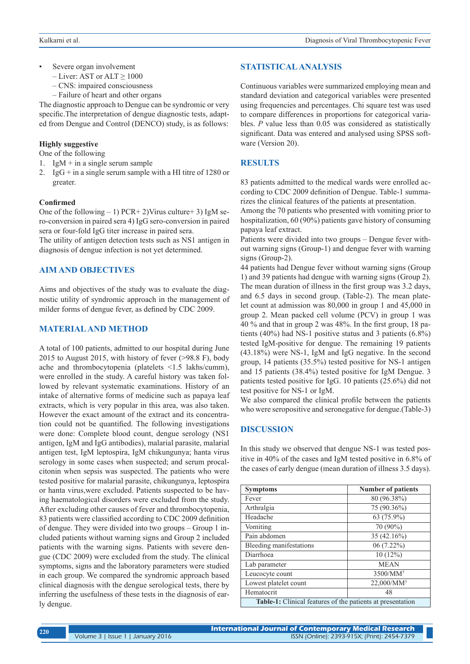- Severe organ involvement
	- $-$  Liver: AST or ALT  $> 1000$
	- CNS: impaired consciousness
	- Failure of heart and other organs

The diagnostic approach to Dengue can be syndromic or very specific.The interpretation of dengue diagnostic tests, adapted from Dengue and Control (DENCO) study, is as follows:

### **Highly suggestive**

One of the following

- 1. IgM + in a single serum sample
- 2. IgG  $+$  in a single serum sample with a HI titre of 1280 or greater.

#### **Confirmed**

One of the following  $-1$ ) PCR+2)Virus culture+3) IgM sero-conversion in paired sera 4) IgG sero-conversion in paired sera or four-fold IgG titer increase in paired sera.

The utility of antigen detection tests such as NS1 antigen in diagnosis of dengue infection is not yet determined.

#### **AIM AND OBJECTIVES**

Aims and objectives of the study was to evaluate the diagnostic utility of syndromic approach in the management of milder forms of dengue fever, as defined by CDC 2009.

## **MATERIAL AND METHOD**

A total of 100 patients, admitted to our hospital during June 2015 to August 2015, with history of fever (>98.8 F), body ache and thrombocytopenia (platelets <1.5 lakhs/cumm), were enrolled in the study. A careful history was taken followed by relevant systematic examinations. History of an intake of alternative forms of medicine such as papaya leaf extracts, which is very popular in this area, was also taken. However the exact amount of the extract and its concentration could not be quantified. The following investigations were done: Complete blood count, dengue serology (NS1 antigen, IgM and IgG antibodies), malarial parasite, malarial antigen test, IgM leptospira, IgM chikungunya; hanta virus serology in some cases when suspected; and serum procalcitonin when sepsis was suspected. The patients who were tested positive for malarial parasite, chikungunya, leptospira or hanta virus,were excluded. Patients suspected to be having haematological disorders were excluded from the study. After excluding other causes of fever and thrombocytopenia, 83 patients were classified according to CDC 2009 definition of dengue. They were divided into two groups – Group 1 included patients without warning signs and Group 2 included patients with the warning signs. Patients with severe dengue (CDC 2009) were excluded from the study. The clinical symptoms, signs and the laboratory parameters were studied in each group. We compared the syndromic approach based clinical diagnosis with the dengue serological tests, there by inferring the usefulness of these tests in the diagnosis of early dengue.

## **STATISTICAL ANALYSIS**

Continuous variables were summarized employing mean and standard deviation and categorical variables were presented using frequencies and percentages. Chi square test was used to compare differences in proportions for categorical variables. *P* value less than 0.05 was considered as statistically significant. Data was entered and analysed using SPSS software (Version 20).

#### **RESULTS**

83 patients admitted to the medical wards were enrolled according to CDC 2009 definition of Dengue. Table-1 summarizes the clinical features of the patients at presentation.

Among the 70 patients who presented with vomiting prior to hospitalization, 60 (90%) patients gave history of consuming papaya leaf extract.

Patients were divided into two groups – Dengue fever without warning signs (Group-1) and dengue fever with warning signs (Group-2).

44 patients had Dengue fever without warning signs (Group 1) and 39 patients had dengue with warning signs (Group 2). The mean duration of illness in the first group was 3.2 days, and 6.5 days in second group. (Table-2). The mean platelet count at admission was 80,000 in group 1 and 45,000 in group 2. Mean packed cell volume (PCV) in group 1 was 40 % and that in group 2 was 48%. In the first group, 18 patients (40%) had NS-1 positive status and 3 patients (6.8%) tested IgM-positive for dengue. The remaining 19 patients (43.18%) were NS-1, IgM and IgG negative. In the second group, 14 patients (35.5%) tested positive for NS-1 antigen and 15 patients (38.4%) tested positive for IgM Dengue. 3 patients tested positive for IgG. 10 patients (25.6%) did not test positive for NS-1 or IgM.

We also compared the clinical profile between the patients who were seropositive and seronegative for dengue.(Table-3)

## **DISCUSSION**

In this study we observed that dengue NS-1 was tested positive in 40% of the cases and IgM tested positive in 6.8% of the cases of early dengue (mean duration of illness 3.5 days).

| <b>Symptoms</b>                                                   | <b>Number of patients</b> |  |  |
|-------------------------------------------------------------------|---------------------------|--|--|
| Fever                                                             | 80 (96.38%)               |  |  |
| Arthralgia                                                        | 75 (90.36%)               |  |  |
| Headache                                                          | 63 (75.9%)                |  |  |
| Vomiting                                                          | 70 (90%)                  |  |  |
| Pain abdomen                                                      | 35 (42.16%)               |  |  |
| Bleeding manifestations                                           | $06(7.22\%)$              |  |  |
| Diarrhoea                                                         | 10(12%)                   |  |  |
| Lab parameter                                                     | <b>MEAN</b>               |  |  |
| Leucocyte count                                                   | 3500/MM <sup>3</sup>      |  |  |
| Lowest platelet count                                             | 22,000/MM <sup>3</sup>    |  |  |
| Hematocrit                                                        | 48                        |  |  |
| <b>Table-1:</b> Clinical features of the patients at presentation |                           |  |  |